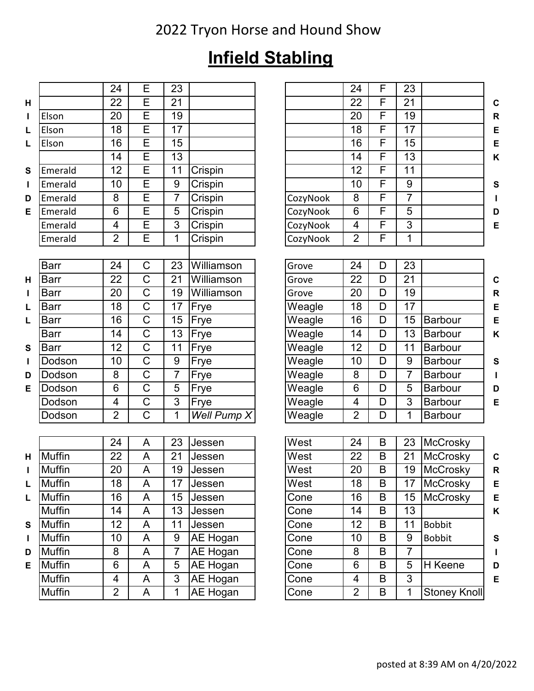## 2022 Tryon Horse and Hound Show

## **Infield Stabling**

|   |               | 24              | Е                     | 23              |                    |                               | 24                      | F           | 23              |                 |             |
|---|---------------|-----------------|-----------------------|-----------------|--------------------|-------------------------------|-------------------------|-------------|-----------------|-----------------|-------------|
| H |               | 22              | Ē                     | $\overline{21}$ |                    |                               | 22                      | F           | $\overline{21}$ |                 | $\mathbf C$ |
| п | Elson         | 20              | E                     | 19              |                    |                               | 20                      | F           | 19              |                 | R           |
| L | Elson         | 18              | E                     | 17              |                    |                               | 18                      | F           | 17              |                 | Е           |
| L | Elson         | 16              | Ē                     | 15              |                    |                               | 16                      | F           | 15              |                 | E           |
|   |               | 14              | E                     | 13              |                    |                               | 14                      | F           | 13              |                 | K           |
| S | Emerald       | 12              | Ē                     | 11              | Crispin            |                               | $\overline{12}$         | F           | 11              |                 |             |
| L | Emerald       | 10              | E                     | $\overline{9}$  | Crispin            |                               | 10                      | F           | 9               |                 | S           |
| D | Emerald       | 8               | E                     | 7               | Crispin            | CozyNook                      | 8                       | F           | $\overline{7}$  |                 |             |
| Е | Emerald       | $6\phantom{1}6$ | Ē                     | $\overline{5}$  | Crispin            | CozyNook                      | 6                       | F           | 5               |                 | D           |
|   | Emerald       | 4               | E                     | 3               | Crispin            | CozyNook                      | 4                       | F           | 3               |                 | E           |
|   | Emerald       | $\overline{2}$  | Ē                     | 1               | Crispin            | CozyNook                      | $\overline{2}$          | F           | 1               |                 |             |
|   |               |                 |                       |                 |                    |                               |                         |             |                 |                 |             |
|   | <b>Barr</b>   | 24              | C                     | 23              | Williamson         | Grove                         | 24                      | D           | 23              |                 |             |
| Н | <b>Barr</b>   | 22              | $\overline{\text{C}}$ | 21              | Williamson         | Grove                         | 22                      | D           | $\overline{21}$ |                 | $\mathbf C$ |
| L | <b>Barr</b>   | 20              | C                     | 19              | Williamson         | Grove                         | 20                      | D           | 19              |                 | R           |
| L | <b>Barr</b>   | 18              | C                     | 17              | Frye               | Weagle                        | 18                      | D           | 17              |                 | E           |
| L | <b>Barr</b>   | 16              | $\overline{\text{C}}$ | 15              | Frye               | Weagle                        | 16                      | D           | 15              | <b>Barbour</b>  | E           |
|   | <b>Barr</b>   | 14              | C                     | 13              | Frye               | $\overline{\mathsf{We}}$ agle | 14                      | D           | 13              | <b>Barbour</b>  | K           |
| S | <b>Barr</b>   | 12              | $\overline{\text{C}}$ | 11              | Frye               | Weagle                        | $\overline{12}$         | D           | 11              | <b>Barbour</b>  |             |
| L | Dodson        | 10              | C                     | 9               | Frye               | Weagle                        | 10                      | D           | 9               | <b>Barbour</b>  | S           |
| D | Dodson        | 8               | $\mathsf C$           | 7               | Frye               | Weagle                        | 8                       | D           | $\overline{7}$  | <b>Barbour</b>  |             |
| E | Dodson        | 6               | $\overline{\text{C}}$ | 5               | Frye               | Weagle                        | 6                       | D           | 5               | <b>Barbour</b>  | D           |
|   | Dodson        | 4               | C                     | 3               | Frye               | Weagle                        | $\overline{\mathbf{4}}$ | D           | 3               | <b>Barbour</b>  | E           |
|   | Dodson        | $\overline{2}$  | $\overline{\text{C}}$ | 1               | <b>Well Pump X</b> | Weagle                        | $\overline{2}$          | D           | 1               | <b>Barbour</b>  |             |
|   |               |                 |                       |                 |                    |                               |                         |             |                 |                 |             |
|   |               | 24              | A                     | 23              | Jessen             | West                          | 24                      | $\mathsf B$ | 23              | McCrosky        |             |
| н | <b>Muffin</b> | 22              | A                     | 21              | Jessen             | West                          | 22                      | B           | 21              | McCrosky        | C           |
|   | Muffin        | 20              | A                     | 19              | Jessen             | West                          | 20                      | B           | 19              | McCrosky        | R           |
| L | <b>Muffin</b> | 18              | A                     | 17              | Jessen             | West                          | 18                      | B           | 17              | <b>McCrosky</b> | E           |
| L | <b>Muffin</b> | 16              | A                     | 15              | Jessen             | Cone                          | 16                      | B           | 15              | <b>McCrosky</b> | E           |
|   | Muffin        | 14              | A                     | 13              | Jessen             | Cone                          | 14                      | B           | 13              |                 | K           |
| S | <b>Muffin</b> | 12              | A                     | 11              | Jessen             | Cone                          | 12                      | B           | 11              | <b>Bobbit</b>   |             |
| L | <b>Muffin</b> | 10              | A                     | 9               | AE Hogan           | Cone                          | 10                      | B           | 9               | <b>Bobbit</b>   | S           |
| D | <b>Muffin</b> | 8               | A                     | $\overline{7}$  | AE Hogan           | Cone                          | 8                       | B           | $\overline{7}$  |                 | L           |
| Е | <b>Muffin</b> | 6               | A                     | 5               | AE Hogan           | Cone                          | 6                       | $\sf B$     | 5               | H Keene         | D           |
|   | <b>Muffin</b> | 4               | A                     | 3               | AE Hogan           | Cone                          | 4                       | B           | 3               |                 | E           |
|   |               |                 |                       |                 |                    |                               |                         |             |                 |                 |             |